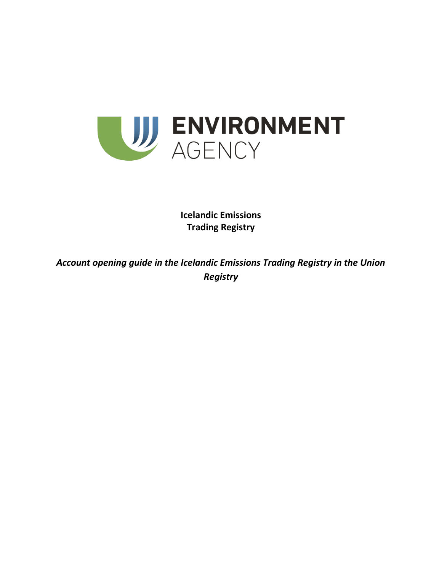

**Icelandic Emissions Trading Registry**

*Account opening guide in the Icelandic Emissions Trading Registry in the Union Registry*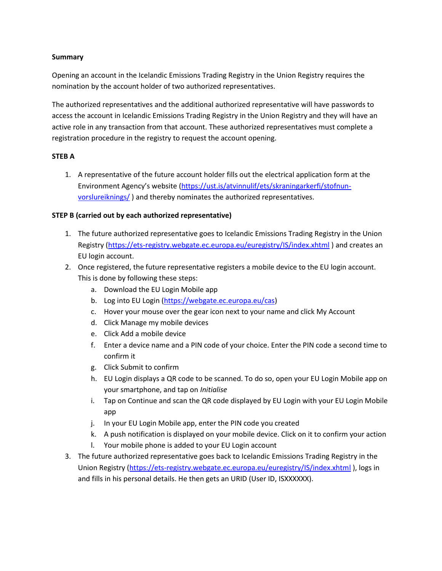### **Summary**

Opening an account in the Icelandic Emissions Trading Registry in the Union Registry requires the nomination by the account holder of two authorized representatives.

The authorized representatives and the additional authorized representative will have passwords to access the account in Icelandic Emissions Trading Registry in the Union Registry and they will have an active role in any transaction from that account. These authorized representatives must complete a registration procedure in the registry to request the account opening.

# **STEB A**

1. A representative of the future account holder fills out the electrical application form at the Environment Agency's website ([https://ust.is/atvinnulif/ets/skraningarkerfi/stofnun](https://ust.is/atvinnulif/ets/skraningarkerfi/stofnun-vorslureiknings/)[vorslureiknings/](https://ust.is/atvinnulif/ets/skraningarkerfi/stofnun-vorslureiknings/) ) and thereby nominates the authorized representatives.

# **STEP B (carried out by each authorized representative)**

- 1. The future authorized representative goes to Icelandic Emissions Trading Registry in the Union Registry [\(https://ets-registry.webgate.ec.europa.eu/euregistry/IS/index.xhtml](https://ets-registry.webgate.ec.europa.eu/euregistry/IS/index.xhtml) ) and creates an EU login account.
- 2. Once registered, the future representative registers a mobile device to the EU login account. This is done by following these steps:
	- a. Download the EU Login Mobile app
	- b. Log into EU Login [\(https://webgate.ec.europa.eu/cas\)](https://webgate.ec.europa.eu/cas)
	- c. Hover your mouse over the gear icon next to your name and click My Account
	- d. Click Manage my mobile devices
	- e. Click Add a mobile device
	- f. Enter a device name and a PIN code of your choice. Enter the PIN code a second time to confirm it
	- g. Click Submit to confirm
	- h. EU Login displays a QR code to be scanned. To do so, open your EU Login Mobile app on your smartphone, and tap on *Initialise*
	- i. Tap on Continue and scan the QR code displayed by EU Login with your EU Login Mobile app
	- j. In your EU Login Mobile app, enter the PIN code you created
	- k. A push notification is displayed on your mobile device. Click on it to confirm your action
	- l. Your mobile phone is added to your EU Login account
- 3. The future authorized representative goes back to Icelandic Emissions Trading Registry in the Union Registry [\(https://ets-registry.webgate.ec.europa.eu/euregistry/IS/index.xhtml](https://ets-registry.webgate.ec.europa.eu/euregistry/IS/index.xhtml)), logs in and fills in his personal details. He then gets an URID (User ID, ISXXXXXX).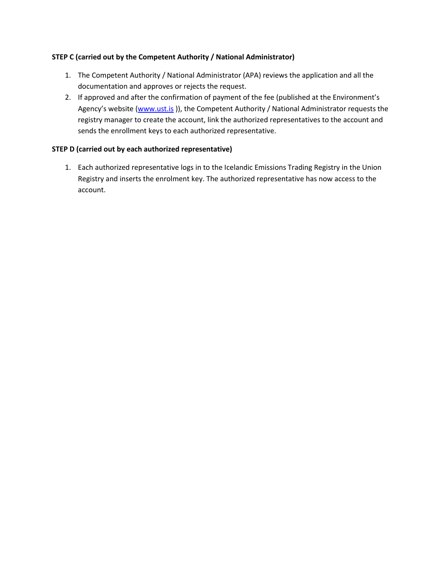# **STEP C (carried out by the Competent Authority / National Administrator)**

- 1. The Competent Authority / National Administrator (APA) reviews the application and all the documentation and approves or rejects the request.
- 2. If approved and after the confirmation of payment of the fee (published at the Environment's Agency's website ([www.ust.is](http://www.ust.is/)), the Competent Authority / National Administrator requests the registry manager to create the account, link the authorized representatives to the account and sends the enrollment keys to each authorized representative.

# **STEP D (carried out by each authorized representative)**

1. Each authorized representative logs in to the Icelandic Emissions Trading Registry in the Union Registry and inserts the enrolment key. The authorized representative has now access to the account.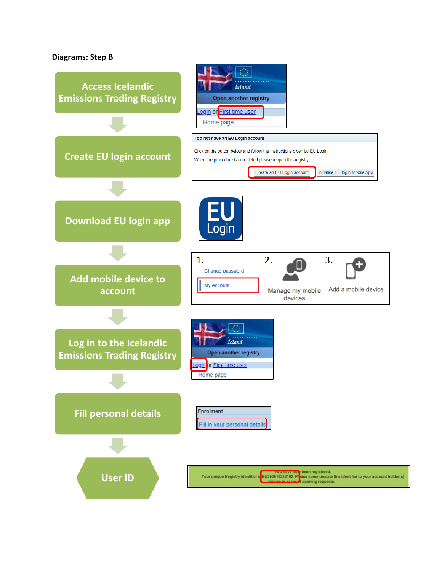### **Diagrams: Step B**